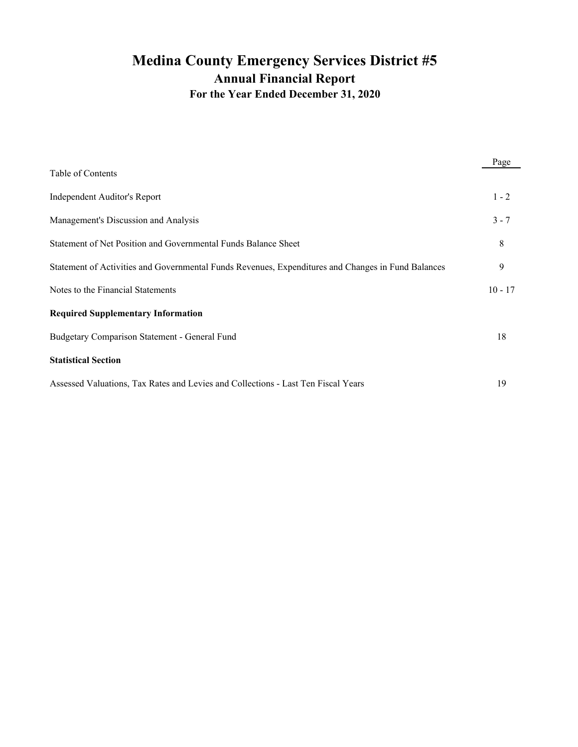# **Medina County Emergency Services District #5 Annual Financial Report For the Year Ended December 31, 2020**

|                                                                                                    | Page      |
|----------------------------------------------------------------------------------------------------|-----------|
| Table of Contents                                                                                  |           |
| Independent Auditor's Report                                                                       | $1 - 2$   |
| Management's Discussion and Analysis                                                               | $3 - 7$   |
| Statement of Net Position and Governmental Funds Balance Sheet                                     | 8         |
| Statement of Activities and Governmental Funds Revenues, Expenditures and Changes in Fund Balances | 9         |
| Notes to the Financial Statements                                                                  | $10 - 17$ |
| <b>Required Supplementary Information</b>                                                          |           |
| Budgetary Comparison Statement - General Fund                                                      | 18        |
| <b>Statistical Section</b>                                                                         |           |
| Assessed Valuations, Tax Rates and Levies and Collections - Last Ten Fiscal Years                  | 19        |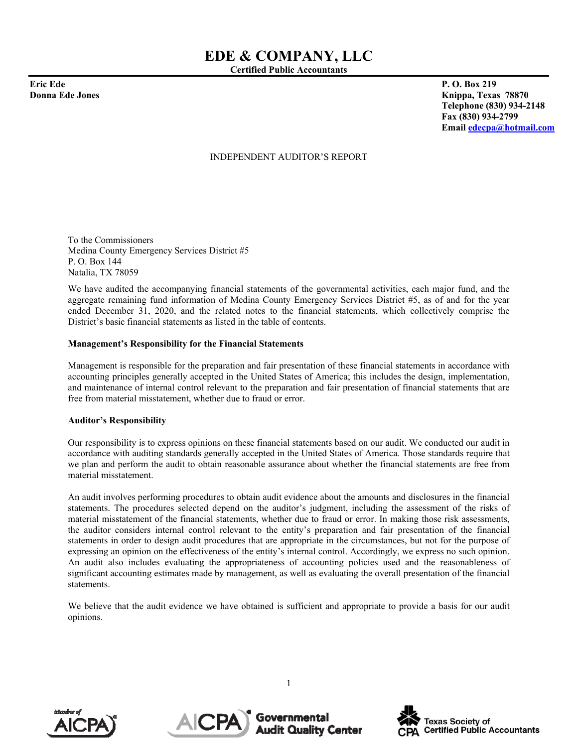# **EDE & COMPANY, LLC**

**Certified Public Accountants** 

**Eric Ede** P.O. Box 219

**Donna Ede Jones Knippa, Texas 78870 Telephone (830) 934-2148 Fax (830) 934-2799 Email edecpa@hotmail.com**

#### INDEPENDENT AUDITOR'S REPORT

To the Commissioners Medina County Emergency Services District #5 P. O. Box 144 Natalia, TX 78059

We have audited the accompanying financial statements of the governmental activities, each major fund, and the aggregate remaining fund information of Medina County Emergency Services District #5, as of and for the year ended December 31, 2020, and the related notes to the financial statements, which collectively comprise the District's basic financial statements as listed in the table of contents.

#### **Management's Responsibility for the Financial Statements**

Management is responsible for the preparation and fair presentation of these financial statements in accordance with accounting principles generally accepted in the United States of America; this includes the design, implementation, and maintenance of internal control relevant to the preparation and fair presentation of financial statements that are free from material misstatement, whether due to fraud or error.

#### **Auditor's Responsibility**

Our responsibility is to express opinions on these financial statements based on our audit. We conducted our audit in accordance with auditing standards generally accepted in the United States of America. Those standards require that we plan and perform the audit to obtain reasonable assurance about whether the financial statements are free from material misstatement.

An audit involves performing procedures to obtain audit evidence about the amounts and disclosures in the financial statements. The procedures selected depend on the auditor's judgment, including the assessment of the risks of material misstatement of the financial statements, whether due to fraud or error. In making those risk assessments, the auditor considers internal control relevant to the entity's preparation and fair presentation of the financial statements in order to design audit procedures that are appropriate in the circumstances, but not for the purpose of expressing an opinion on the effectiveness of the entity's internal control. Accordingly, we express no such opinion. An audit also includes evaluating the appropriateness of accounting policies used and the reasonableness of significant accounting estimates made by management, as well as evaluating the overall presentation of the financial statements.

We believe that the audit evidence we have obtained is sufficient and appropriate to provide a basis for our audit opinions.

1





# Governmental<br>Audit Quality Center

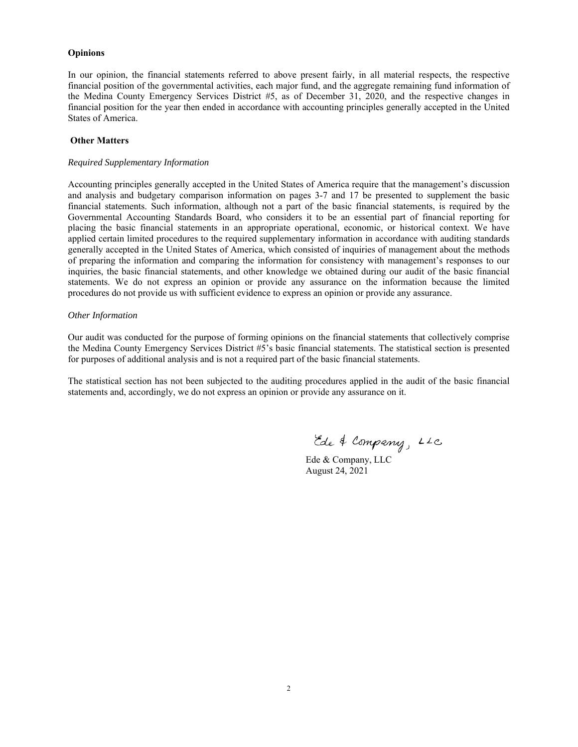#### **Opinions**

In our opinion, the financial statements referred to above present fairly, in all material respects, the respective financial position of the governmental activities, each major fund, and the aggregate remaining fund information of the Medina County Emergency Services District #5, as of December 31, 2020, and the respective changes in financial position for the year then ended in accordance with accounting principles generally accepted in the United States of America.

#### **Other Matters**

#### *Required Supplementary Information*

Accounting principles generally accepted in the United States of America require that the management's discussion and analysis and budgetary comparison information on pages 3-7 and 17 be presented to supplement the basic financial statements. Such information, although not a part of the basic financial statements, is required by the Governmental Accounting Standards Board, who considers it to be an essential part of financial reporting for placing the basic financial statements in an appropriate operational, economic, or historical context. We have applied certain limited procedures to the required supplementary information in accordance with auditing standards generally accepted in the United States of America, which consisted of inquiries of management about the methods of preparing the information and comparing the information for consistency with management's responses to our inquiries, the basic financial statements, and other knowledge we obtained during our audit of the basic financial statements. We do not express an opinion or provide any assurance on the information because the limited procedures do not provide us with sufficient evidence to express an opinion or provide any assurance.

#### *Other Information*

Our audit was conducted for the purpose of forming opinions on the financial statements that collectively comprise the Medina County Emergency Services District #5's basic financial statements. The statistical section is presented for purposes of additional analysis and is not a required part of the basic financial statements.

The statistical section has not been subjected to the auditing procedures applied in the audit of the basic financial statements and, accordingly, we do not express an opinion or provide any assurance on it.

Ede & Company, LLC

Ede & Company, LLC August 24, 2021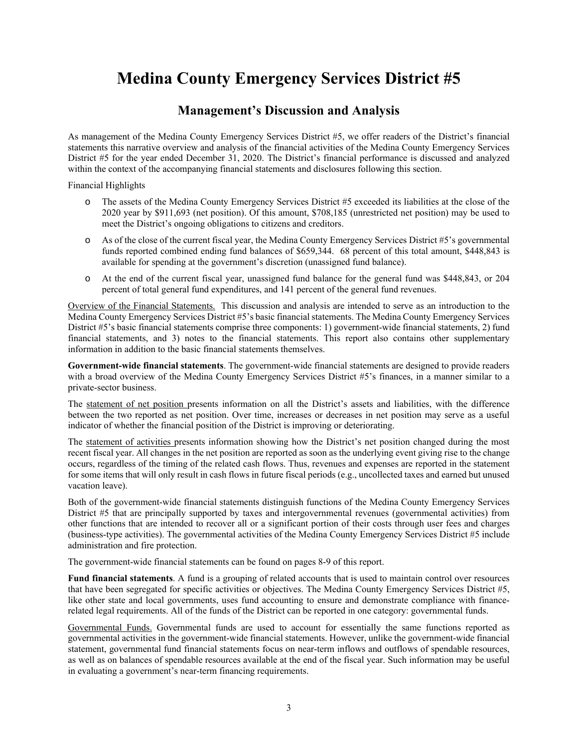# **Medina County Emergency Services District #5**

### **Management's Discussion and Analysis**

As management of the Medina County Emergency Services District #5, we offer readers of the District's financial statements this narrative overview and analysis of the financial activities of the Medina County Emergency Services District #5 for the year ended December 31, 2020. The District's financial performance is discussed and analyzed within the context of the accompanying financial statements and disclosures following this section.

Financial Highlights

- o The assets of the Medina County Emergency Services District #5 exceeded its liabilities at the close of the 2020 year by \$911,693 (net position). Of this amount, \$708,185 (unrestricted net position) may be used to meet the District's ongoing obligations to citizens and creditors.
- o As of the close of the current fiscal year, the Medina County Emergency Services District #5's governmental funds reported combined ending fund balances of \$659,344. 68 percent of this total amount, \$448,843 is available for spending at the government's discretion (unassigned fund balance).
- o At the end of the current fiscal year, unassigned fund balance for the general fund was \$448,843, or 204 percent of total general fund expenditures, and 141 percent of the general fund revenues.

Overview of the Financial Statements. This discussion and analysis are intended to serve as an introduction to the Medina County Emergency Services District #5's basic financial statements. The Medina County Emergency Services District #5's basic financial statements comprise three components: 1) government-wide financial statements, 2) fund financial statements, and 3) notes to the financial statements. This report also contains other supplementary information in addition to the basic financial statements themselves.

**Government-wide financial statements**. The government-wide financial statements are designed to provide readers with a broad overview of the Medina County Emergency Services District #5's finances, in a manner similar to a private-sector business.

The statement of net position presents information on all the District's assets and liabilities, with the difference between the two reported as net position. Over time, increases or decreases in net position may serve as a useful indicator of whether the financial position of the District is improving or deteriorating.

The statement of activities presents information showing how the District's net position changed during the most recent fiscal year. All changes in the net position are reported as soon as the underlying event giving rise to the change occurs, regardless of the timing of the related cash flows. Thus, revenues and expenses are reported in the statement for some items that will only result in cash flows in future fiscal periods (e.g., uncollected taxes and earned but unused vacation leave).

Both of the government-wide financial statements distinguish functions of the Medina County Emergency Services District #5 that are principally supported by taxes and intergovernmental revenues (governmental activities) from other functions that are intended to recover all or a significant portion of their costs through user fees and charges (business-type activities). The governmental activities of the Medina County Emergency Services District #5 include administration and fire protection.

The government-wide financial statements can be found on pages 8-9 of this report.

**Fund financial statements**. A fund is a grouping of related accounts that is used to maintain control over resources that have been segregated for specific activities or objectives. The Medina County Emergency Services District #5, like other state and local governments, uses fund accounting to ensure and demonstrate compliance with financerelated legal requirements. All of the funds of the District can be reported in one category: governmental funds.

Governmental Funds. Governmental funds are used to account for essentially the same functions reported as governmental activities in the government-wide financial statements. However, unlike the government-wide financial statement, governmental fund financial statements focus on near-term inflows and outflows of spendable resources, as well as on balances of spendable resources available at the end of the fiscal year. Such information may be useful in evaluating a government's near-term financing requirements.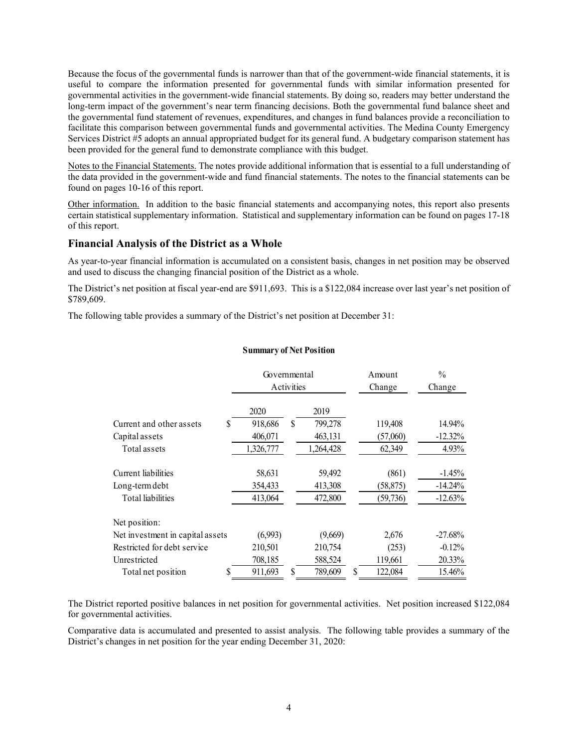Because the focus of the governmental funds is narrower than that of the government-wide financial statements, it is useful to compare the information presented for governmental funds with similar information presented for governmental activities in the government-wide financial statements. By doing so, readers may better understand the long-term impact of the government's near term financing decisions. Both the governmental fund balance sheet and the governmental fund statement of revenues, expenditures, and changes in fund balances provide a reconciliation to facilitate this comparison between governmental funds and governmental activities. The Medina County Emergency Services District #5 adopts an annual appropriated budget for its general fund. A budgetary comparison statement has been provided for the general fund to demonstrate compliance with this budget.

Notes to the Financial Statements. The notes provide additional information that is essential to a full understanding of the data provided in the government-wide and fund financial statements. The notes to the financial statements can be found on pages 10-16 of this report.

Other information. In addition to the basic financial statements and accompanying notes, this report also presents certain statistical supplementary information. Statistical and supplementary information can be found on pages 17-18 of this report.

#### **Financial Analysis of the District as a Whole**

As year-to-year financial information is accumulated on a consistent basis, changes in net position may be observed and used to discuss the changing financial position of the District as a whole.

The District's net position at fiscal year-end are \$911,693. This is a \$122,084 increase over last year's net position of \$789,609.

The following table provides a summary of the District's net position at December 31:

|                                  |           | Governmental<br>Activities |           |    |           | $\frac{0}{0}$<br>Change |
|----------------------------------|-----------|----------------------------|-----------|----|-----------|-------------------------|
|                                  | 2020      |                            | 2019      |    |           |                         |
| Current and other assets<br>\$   | 918,686   | \$                         | 799,278   |    | 119,408   | 14.94%                  |
| Capital assets                   | 406,071   |                            | 463,131   |    | (57,060)  | $-12.32\%$              |
| Total assets                     | 1,326,777 |                            | 1,264,428 |    | 62,349    | 4.93%                   |
| Current liabilities              | 58,631    |                            | 59,492    |    | (861)     | $-1.45%$                |
| Long-term debt                   | 354,433   |                            | 413,308   |    | (58, 875) | $-14.24%$               |
| Total liabilities                | 413,064   |                            | 472,800   |    | (59, 736) | $-12.63%$               |
| Net position:                    |           |                            |           |    |           |                         |
| Net investment in capital assets | (6,993)   |                            | (9,669)   |    | 2,676     | $-27.68%$               |
| Restricted for debt service      | 210,501   |                            | 210,754   |    | (253)     | $-0.12%$                |
| Unrestricted                     | 708,185   |                            | 588,524   |    | 119,661   | 20.33%                  |
| \$<br>Total net position         | 911,693   | \$                         | 789,609   | \$ | 122,084   | 15.46%                  |

#### **Summary of Net Position**

The District reported positive balances in net position for governmental activities. Net position increased \$122,084 for governmental activities.

Comparative data is accumulated and presented to assist analysis. The following table provides a summary of the District's changes in net position for the year ending December 31, 2020: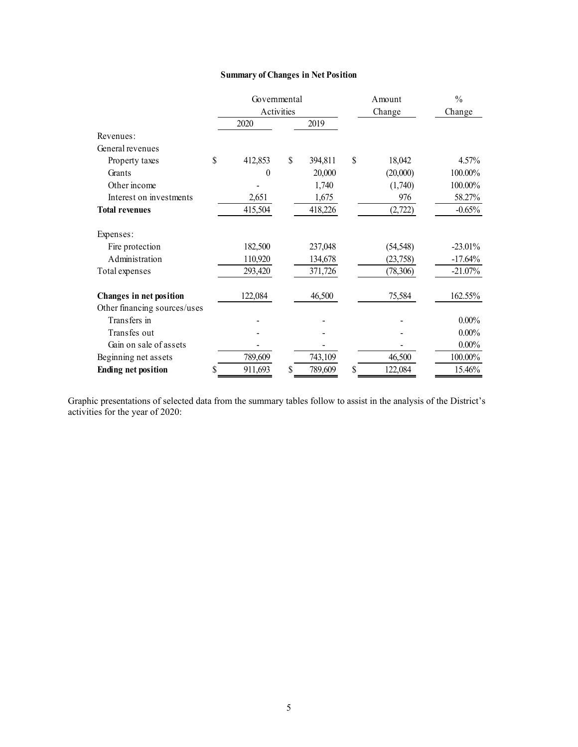#### **Summary of Changes in Net Position**

|                              | Governmental  |    |         | Amount        | $\frac{0}{0}$ |
|------------------------------|---------------|----|---------|---------------|---------------|
|                              | Activities    |    |         | Change        | Change        |
|                              | 2020          |    | 2019    |               |               |
| Revenues:                    |               |    |         |               |               |
| General revenues             |               |    |         |               |               |
| Property taxes               | \$<br>412,853 | \$ | 394,811 | \$<br>18,042  | 4.57%         |
| Grants                       | $\theta$      |    | 20,000  | (20,000)      | 100.00%       |
| Other income                 |               |    | 1,740   | (1,740)       | 100.00%       |
| Interest on investments      | 2,651         |    | 1,675   | 976           | 58.27%        |
| <b>Total revenues</b>        | 415,504       |    | 418,226 | (2, 722)      | $-0.65%$      |
| Expenses:                    |               |    |         |               |               |
| Fire protection              | 182,500       |    | 237,048 | (54, 548)     | $-23.01\%$    |
| Administration               | 110,920       |    | 134,678 | (23,758)      | $-17.64\%$    |
| Total expenses               | 293,420       |    | 371,726 | (78,306)      | $-21.07\%$    |
| Changes in net position      | 122,084       |    | 46,500  | 75,584        | 162.55%       |
| Other financing sources/uses |               |    |         |               |               |
| Transfers in                 |               |    |         |               | $0.00\%$      |
| Transfes out                 |               |    |         |               | $0.00\%$      |
| Gain on sale of assets       |               |    |         |               | $0.00\%$      |
| Beginning net assets         | 789,609       |    | 743,109 | 46,500        | 100.00%       |
| <b>Ending net position</b>   | \$<br>911,693 | \$ | 789,609 | \$<br>122,084 | 15.46%        |

Graphic presentations of selected data from the summary tables follow to assist in the analysis of the District's activities for the year of 2020: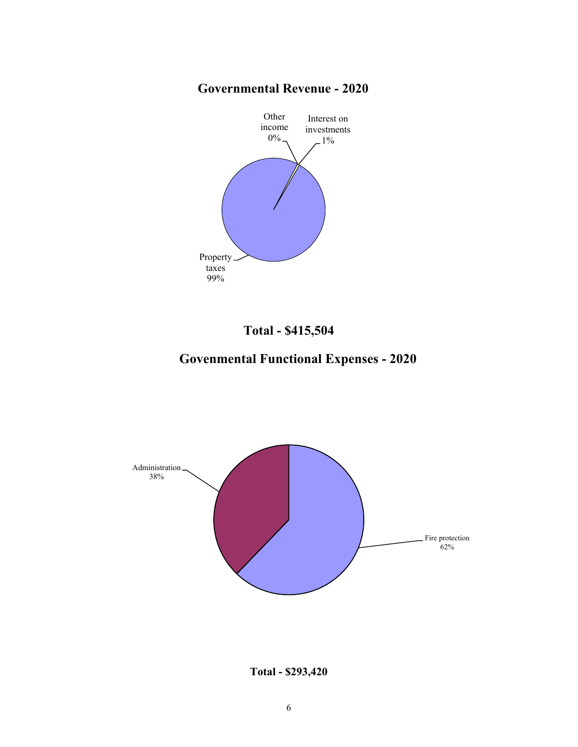# **Governmental Revenue - 2020**





# **Govenmental Functional Expenses - 2020**



**Total - \$293,420**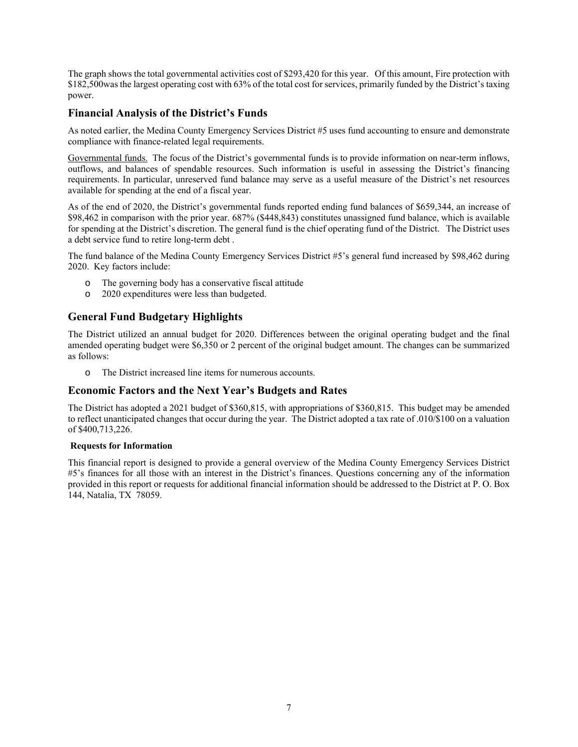The graph shows the total governmental activities cost of \$293,420 for this year. Of this amount, Fire protection with \$182,500was the largest operating cost with 63% of the total cost for services, primarily funded by the District's taxing power.

#### **Financial Analysis of the District's Funds**

As noted earlier, the Medina County Emergency Services District #5 uses fund accounting to ensure and demonstrate compliance with finance-related legal requirements.

Governmental funds. The focus of the District's governmental funds is to provide information on near-term inflows, outflows, and balances of spendable resources. Such information is useful in assessing the District's financing requirements. In particular, unreserved fund balance may serve as a useful measure of the District's net resources available for spending at the end of a fiscal year.

As of the end of 2020, the District's governmental funds reported ending fund balances of \$659,344, an increase of \$98,462 in comparison with the prior year. 687% (\$448,843) constitutes unassigned fund balance, which is available for spending at the District's discretion. The general fund is the chief operating fund of the District. The District uses a debt service fund to retire long-term debt .

The fund balance of the Medina County Emergency Services District #5's general fund increased by \$98,462 during 2020. Key factors include:

- o The governing body has a conservative fiscal attitude
- o 2020 expenditures were less than budgeted.

#### **General Fund Budgetary Highlights**

The District utilized an annual budget for 2020. Differences between the original operating budget and the final amended operating budget were \$6,350 or 2 percent of the original budget amount. The changes can be summarized as follows:

o The District increased line items for numerous accounts.

#### **Economic Factors and the Next Year's Budgets and Rates**

The District has adopted a 2021 budget of \$360,815, with appropriations of \$360,815. This budget may be amended to reflect unanticipated changes that occur during the year. The District adopted a tax rate of .010/\$100 on a valuation of \$400,713,226.

#### **Requests for Information**

This financial report is designed to provide a general overview of the Medina County Emergency Services District #5's finances for all those with an interest in the District's finances. Questions concerning any of the information provided in this report or requests for additional financial information should be addressed to the District at P. O. Box 144, Natalia, TX 78059.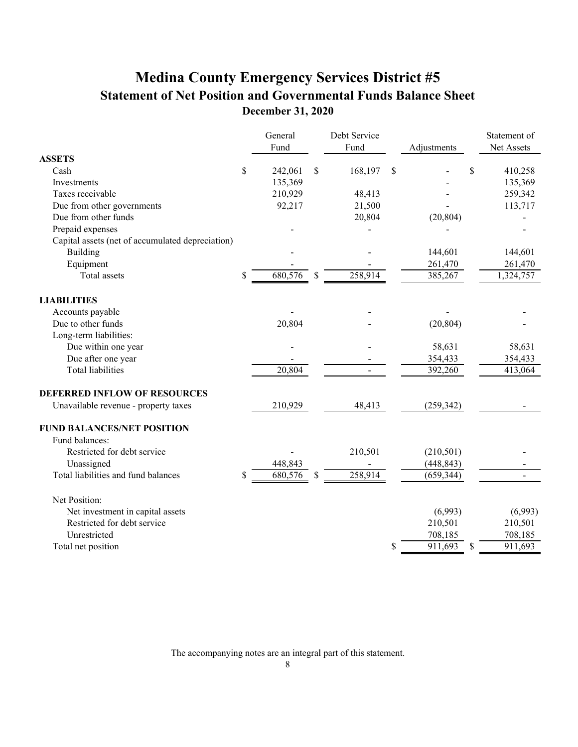# **Medina County Emergency Services District #5 Statement of Net Position and Governmental Funds Balance Sheet December 31, 2020**

|                                                  | General<br>Fund | Debt Service<br>Fund | Adjustments         | Statement of<br>Net Assets |
|--------------------------------------------------|-----------------|----------------------|---------------------|----------------------------|
| <b>ASSETS</b>                                    |                 |                      |                     |                            |
| Cash                                             | \$<br>242,061   | \$<br>168,197        | \$<br>\$            | 410,258                    |
| Investments                                      | 135,369         |                      |                     | 135,369                    |
| Taxes receivable                                 | 210,929         | 48,413               |                     | 259,342                    |
| Due from other governments                       | 92,217          | 21,500               |                     | 113,717                    |
| Due from other funds                             |                 | 20,804               | (20, 804)           |                            |
| Prepaid expenses                                 |                 |                      |                     |                            |
| Capital assets (net of accumulated depreciation) |                 |                      |                     |                            |
| Building                                         |                 |                      | 144,601             | 144,601                    |
| Equipment                                        |                 |                      | 261,470             | 261,470                    |
| Total assets                                     | \$<br>680,576   | \$<br>258,914        | 385,267             | 1,324,757                  |
| <b>LIABILITIES</b>                               |                 |                      |                     |                            |
| Accounts payable                                 |                 |                      |                     |                            |
| Due to other funds                               | 20,804          |                      | (20, 804)           |                            |
| Long-term liabilities:                           |                 |                      |                     |                            |
| Due within one year                              |                 |                      | 58,631              | 58,631                     |
| Due after one year                               |                 |                      | 354,433             | 354,433                    |
| <b>Total liabilities</b>                         | 20,804          |                      | 392,260             | 413,064                    |
| DEFERRED INFLOW OF RESOURCES                     |                 |                      |                     |                            |
| Unavailable revenue - property taxes             | 210,929         | 48,413               | (259, 342)          |                            |
| <b>FUND BALANCES/NET POSITION</b>                |                 |                      |                     |                            |
| Fund balances:                                   |                 |                      |                     |                            |
| Restricted for debt service                      |                 | 210,501              | (210, 501)          |                            |
| Unassigned                                       | 448,843         |                      | (448, 843)          |                            |
| Total liabilities and fund balances              | \$<br>680,576   | \$<br>258,914        | (659, 344)          |                            |
| Net Position:                                    |                 |                      |                     |                            |
| Net investment in capital assets                 |                 |                      | (6,993)             | (6,993)                    |
| Restricted for debt service                      |                 |                      | 210,501             | 210,501                    |
| Unrestricted                                     |                 |                      | 708,185             | 708,185                    |
| Total net position                               |                 |                      | \$<br>911,693<br>\$ | 911,693                    |

The accompanying notes are an integral part of this statement.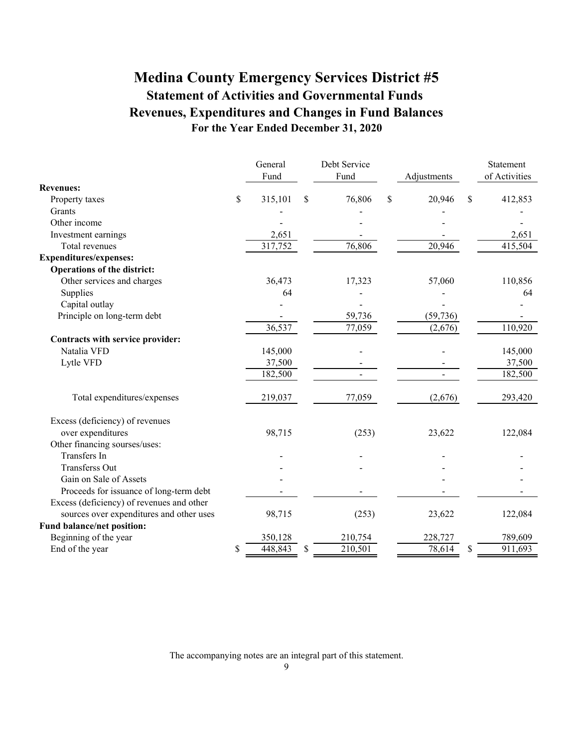# **Medina County Emergency Services District #5 Statement of Activities and Governmental Funds Revenues, Expenditures and Changes in Fund Balances For the Year Ended December 31, 2020**

|                                           |    | General<br>Fund | Debt Service<br>Fund | Adjustments  | Statement<br>of Activities |
|-------------------------------------------|----|-----------------|----------------------|--------------|----------------------------|
| <b>Revenues:</b>                          |    |                 |                      |              |                            |
| Property taxes                            | \$ | 315,101         | \$<br>76,806         | \$<br>20,946 | \$<br>412,853              |
| Grants                                    |    |                 |                      |              |                            |
| Other income                              |    |                 |                      |              |                            |
| Investment earnings                       |    | 2,651           |                      |              | 2,651                      |
| Total revenues                            |    | 317,752         | 76,806               | 20,946       | 415,504                    |
| <b>Expenditures/expenses:</b>             |    |                 |                      |              |                            |
| <b>Operations of the district:</b>        |    |                 |                      |              |                            |
| Other services and charges                |    | 36,473          | 17,323               | 57,060       | 110,856                    |
| Supplies                                  |    | 64              |                      |              | 64                         |
| Capital outlay                            |    |                 |                      |              |                            |
| Principle on long-term debt               |    |                 | 59,736               | (59, 736)    |                            |
|                                           |    | 36,537          | 77,059               | (2,676)      | 110,920                    |
| Contracts with service provider:          |    |                 |                      |              |                            |
| Natalia VFD                               |    | 145,000         |                      |              | 145,000                    |
| Lytle VFD                                 |    | 37,500          |                      |              | 37,500                     |
|                                           |    | 182,500         |                      |              | 182,500                    |
| Total expenditures/expenses               |    | 219,037         | 77,059               | (2,676)      | 293,420                    |
| Excess (deficiency) of revenues           |    |                 |                      |              |                            |
| over expenditures                         |    | 98,715          | (253)                | 23,622       | 122,084                    |
| Other financing sourses/uses:             |    |                 |                      |              |                            |
| Transfers In                              |    |                 |                      |              |                            |
| <b>Transferss Out</b>                     |    |                 |                      |              |                            |
| Gain on Sale of Assets                    |    |                 |                      |              |                            |
| Proceeds for issuance of long-term debt   |    |                 |                      |              |                            |
| Excess (deficiency) of revenues and other |    |                 |                      |              |                            |
| sources over expenditures and other uses  |    | 98,715          | (253)                | 23,622       | 122,084                    |
| Fund balance/net position:                |    |                 |                      |              |                            |
| Beginning of the year                     |    | 350,128         | 210,754              | 228,727      | 789,609                    |
| End of the year                           | S. | 448,843         | \$<br>210,501        | 78,614       | \$<br>911,693              |

The accompanying notes are an integral part of this statement.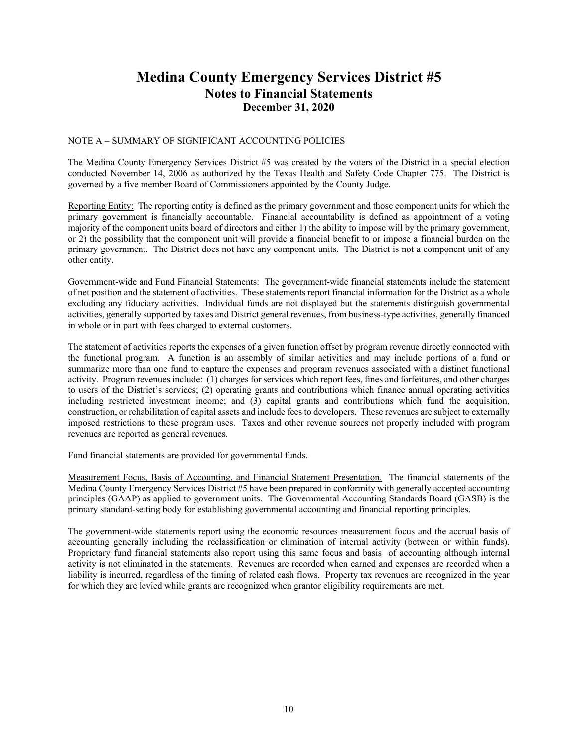#### NOTE A – SUMMARY OF SIGNIFICANT ACCOUNTING POLICIES

The Medina County Emergency Services District #5 was created by the voters of the District in a special election conducted November 14, 2006 as authorized by the Texas Health and Safety Code Chapter 775. The District is governed by a five member Board of Commissioners appointed by the County Judge.

Reporting Entity: The reporting entity is defined as the primary government and those component units for which the primary government is financially accountable. Financial accountability is defined as appointment of a voting majority of the component units board of directors and either 1) the ability to impose will by the primary government, or 2) the possibility that the component unit will provide a financial benefit to or impose a financial burden on the primary government. The District does not have any component units. The District is not a component unit of any other entity.

Government-wide and Fund Financial Statements: The government-wide financial statements include the statement of net position and the statement of activities. These statements report financial information for the District as a whole excluding any fiduciary activities. Individual funds are not displayed but the statements distinguish governmental activities, generally supported by taxes and District general revenues, from business-type activities, generally financed in whole or in part with fees charged to external customers.

The statement of activities reports the expenses of a given function offset by program revenue directly connected with the functional program. A function is an assembly of similar activities and may include portions of a fund or summarize more than one fund to capture the expenses and program revenues associated with a distinct functional activity. Program revenues include: (1) charges for services which report fees, fines and forfeitures, and other charges to users of the District's services; (2) operating grants and contributions which finance annual operating activities including restricted investment income; and (3) capital grants and contributions which fund the acquisition, construction, or rehabilitation of capital assets and include fees to developers. These revenues are subject to externally imposed restrictions to these program uses. Taxes and other revenue sources not properly included with program revenues are reported as general revenues.

Fund financial statements are provided for governmental funds.

Measurement Focus, Basis of Accounting, and Financial Statement Presentation. The financial statements of the Medina County Emergency Services District #5 have been prepared in conformity with generally accepted accounting principles (GAAP) as applied to government units. The Governmental Accounting Standards Board (GASB) is the primary standard-setting body for establishing governmental accounting and financial reporting principles.

The government-wide statements report using the economic resources measurement focus and the accrual basis of accounting generally including the reclassification or elimination of internal activity (between or within funds). Proprietary fund financial statements also report using this same focus and basis of accounting although internal activity is not eliminated in the statements. Revenues are recorded when earned and expenses are recorded when a liability is incurred, regardless of the timing of related cash flows. Property tax revenues are recognized in the year for which they are levied while grants are recognized when grantor eligibility requirements are met.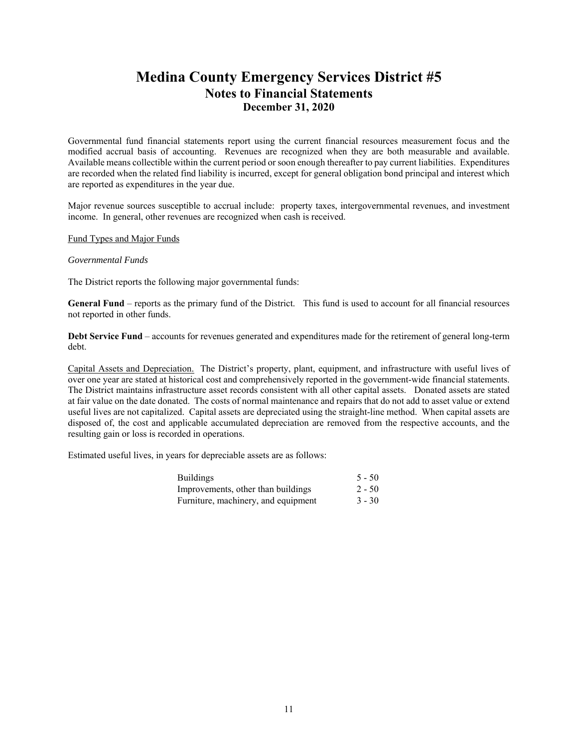Governmental fund financial statements report using the current financial resources measurement focus and the modified accrual basis of accounting. Revenues are recognized when they are both measurable and available. Available means collectible within the current period or soon enough thereafter to pay current liabilities. Expenditures are recorded when the related find liability is incurred, except for general obligation bond principal and interest which are reported as expenditures in the year due.

Major revenue sources susceptible to accrual include: property taxes, intergovernmental revenues, and investment income. In general, other revenues are recognized when cash is received.

#### Fund Types and Major Funds

#### *Governmental Funds*

The District reports the following major governmental funds:

**General Fund** – reports as the primary fund of the District. This fund is used to account for all financial resources not reported in other funds.

**Debt Service Fund** – accounts for revenues generated and expenditures made for the retirement of general long-term debt.

Capital Assets and Depreciation. The District's property, plant, equipment, and infrastructure with useful lives of over one year are stated at historical cost and comprehensively reported in the government-wide financial statements. The District maintains infrastructure asset records consistent with all other capital assets. Donated assets are stated at fair value on the date donated. The costs of normal maintenance and repairs that do not add to asset value or extend useful lives are not capitalized. Capital assets are depreciated using the straight-line method. When capital assets are disposed of, the cost and applicable accumulated depreciation are removed from the respective accounts, and the resulting gain or loss is recorded in operations.

Estimated useful lives, in years for depreciable assets are as follows:

| <b>Buildings</b>                    | $5 - 50$ |
|-------------------------------------|----------|
| Improvements, other than buildings  | $2 - 50$ |
| Furniture, machinery, and equipment | $3 - 30$ |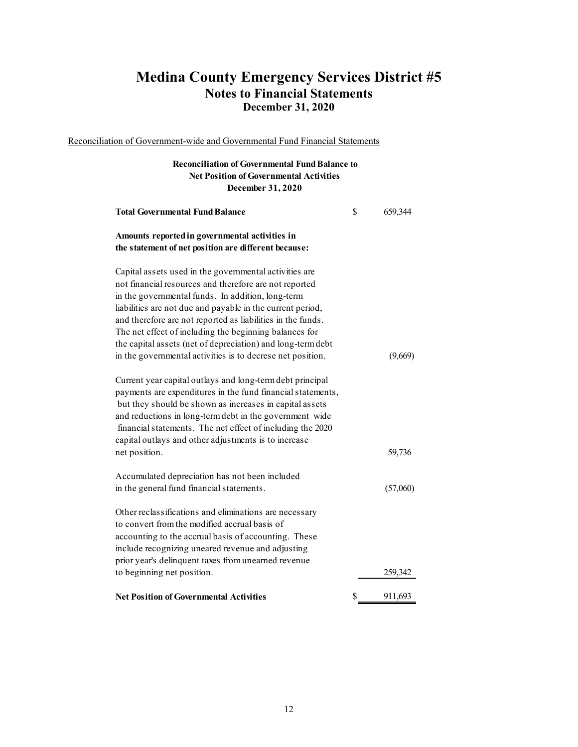Reconciliation of Government-wide and Governmental Fund Financial Statements

#### **Reconciliation of Governmental Fund Balance to Net Position of Governmental Activities December 31, 2020**

| <b>Total Governmental Fund Balance</b>                                                                                                                                                                                                                                                                                                                                                                                      | \$<br>659,344 |
|-----------------------------------------------------------------------------------------------------------------------------------------------------------------------------------------------------------------------------------------------------------------------------------------------------------------------------------------------------------------------------------------------------------------------------|---------------|
| Amounts reported in governmental activities in                                                                                                                                                                                                                                                                                                                                                                              |               |
| the statement of net position are different because:                                                                                                                                                                                                                                                                                                                                                                        |               |
| Capital assets used in the governmental activities are<br>not financial resources and therefore are not reported<br>in the governmental funds. In addition, long-term<br>liabilities are not due and payable in the current period,<br>and therefore are not reported as liabilities in the funds.<br>The net effect of including the beginning balances for<br>the capital assets (net of depreciation) and long-term debt |               |
| in the governmental activities is to decrese net position.                                                                                                                                                                                                                                                                                                                                                                  | (9,669)       |
| Current year capital outlays and long-term debt principal<br>payments are expenditures in the fund financial statements,<br>but they should be shown as increases in capital assets<br>and reductions in long-term debt in the government wide<br>financial statements. The net effect of including the 2020<br>capital outlays and other adjustments is to increase<br>net position.                                       | 59,736        |
|                                                                                                                                                                                                                                                                                                                                                                                                                             |               |
| Accumulated depreciation has not been included<br>in the general fund financial statements.                                                                                                                                                                                                                                                                                                                                 | (57,060)      |
| Other reclassifications and eliminations are necessary<br>to convert from the modified accrual basis of<br>accounting to the accrual basis of accounting. These<br>include recognizing uneared revenue and adjusting<br>prior year's delinquent taxes from unearned revenue<br>to beginning net position.                                                                                                                   | 259,342       |
|                                                                                                                                                                                                                                                                                                                                                                                                                             |               |
| <b>Net Position of Governmental Activities</b>                                                                                                                                                                                                                                                                                                                                                                              | \$<br>911,693 |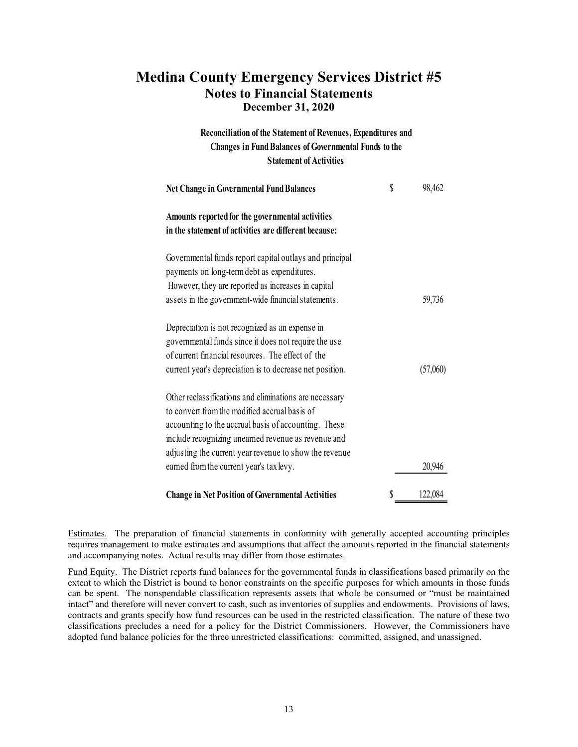**Reconciliation of the Statement of Revenues, Expenditures and Changes in Fund Balances of Governmental Funds to the Statement of Activities**

| <b>Net Change in Governmental Fund Balances</b>                                                                                                                                                                                                                                                                                              | \$<br>98,462  |
|----------------------------------------------------------------------------------------------------------------------------------------------------------------------------------------------------------------------------------------------------------------------------------------------------------------------------------------------|---------------|
| Amounts reported for the governmental activities<br>in the statement of activities are different because:                                                                                                                                                                                                                                    |               |
| Governmental funds report capital outlays and principal<br>payments on long-term debt as expenditures.                                                                                                                                                                                                                                       |               |
| However, they are reported as increases in capital<br>assets in the government-wide financial statements.                                                                                                                                                                                                                                    | 59,736        |
| Depreciation is not recognized as an expense in<br>governmental funds since it does not require the use<br>of current financial resources. The effect of the                                                                                                                                                                                 |               |
| current year's depreciation is to decrease net position.<br>Other reclassifications and eliminations are necessary<br>to convert from the modified accrual basis of<br>accounting to the accrual basis of accounting. These<br>include recognizing unearned revenue as revenue and<br>adjusting the current year revenue to show the revenue | (57,060)      |
| earned from the current year's tax levy.                                                                                                                                                                                                                                                                                                     | 20,946        |
| <b>Change in Net Position of Governmental Activities</b>                                                                                                                                                                                                                                                                                     | \$<br>122,084 |

Estimates. The preparation of financial statements in conformity with generally accepted accounting principles requires management to make estimates and assumptions that affect the amounts reported in the financial statements and accompanying notes. Actual results may differ from those estimates.

Fund Equity. The District reports fund balances for the governmental funds in classifications based primarily on the extent to which the District is bound to honor constraints on the specific purposes for which amounts in those funds can be spent. The nonspendable classification represents assets that whole be consumed or "must be maintained intact" and therefore will never convert to cash, such as inventories of supplies and endowments. Provisions of laws, contracts and grants specify how fund resources can be used in the restricted classification. The nature of these two classifications precludes a need for a policy for the District Commissioners. However, the Commissioners have adopted fund balance policies for the three unrestricted classifications: committed, assigned, and unassigned.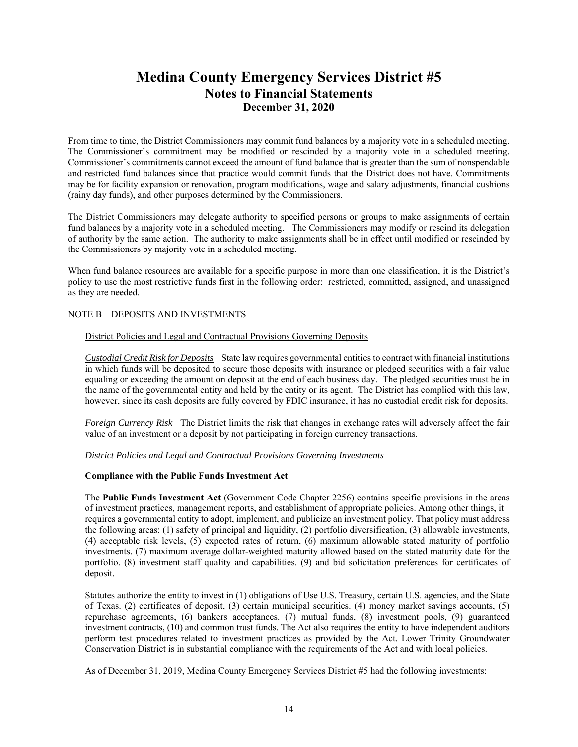From time to time, the District Commissioners may commit fund balances by a majority vote in a scheduled meeting. The Commissioner's commitment may be modified or rescinded by a majority vote in a scheduled meeting. Commissioner's commitments cannot exceed the amount of fund balance that is greater than the sum of nonspendable and restricted fund balances since that practice would commit funds that the District does not have. Commitments may be for facility expansion or renovation, program modifications, wage and salary adjustments, financial cushions (rainy day funds), and other purposes determined by the Commissioners.

The District Commissioners may delegate authority to specified persons or groups to make assignments of certain fund balances by a majority vote in a scheduled meeting. The Commissioners may modify or rescind its delegation of authority by the same action. The authority to make assignments shall be in effect until modified or rescinded by the Commissioners by majority vote in a scheduled meeting.

When fund balance resources are available for a specific purpose in more than one classification, it is the District's policy to use the most restrictive funds first in the following order: restricted, committed, assigned, and unassigned as they are needed.

#### NOTE B – DEPOSITS AND INVESTMENTS

#### District Policies and Legal and Contractual Provisions Governing Deposits

*Custodial Credit Risk for Deposits* State law requires governmental entities to contract with financial institutions in which funds will be deposited to secure those deposits with insurance or pledged securities with a fair value equaling or exceeding the amount on deposit at the end of each business day. The pledged securities must be in the name of the governmental entity and held by the entity or its agent. The District has complied with this law, however, since its cash deposits are fully covered by FDIC insurance, it has no custodial credit risk for deposits.

*Foreign Currency Risk* The District limits the risk that changes in exchange rates will adversely affect the fair value of an investment or a deposit by not participating in foreign currency transactions.

#### *District Policies and Legal and Contractual Provisions Governing Investments*

#### **Compliance with the Public Funds Investment Act**

The **Public Funds Investment Act** (Government Code Chapter 2256) contains specific provisions in the areas of investment practices, management reports, and establishment of appropriate policies. Among other things, it requires a governmental entity to adopt, implement, and publicize an investment policy. That policy must address the following areas: (1) safety of principal and liquidity, (2) portfolio diversification, (3) allowable investments, (4) acceptable risk levels, (5) expected rates of return, (6) maximum allowable stated maturity of portfolio investments. (7) maximum average dollar-weighted maturity allowed based on the stated maturity date for the portfolio. (8) investment staff quality and capabilities. (9) and bid solicitation preferences for certificates of deposit.

Statutes authorize the entity to invest in (1) obligations of Use U.S. Treasury, certain U.S. agencies, and the State of Texas. (2) certificates of deposit, (3) certain municipal securities. (4) money market savings accounts, (5) repurchase agreements, (6) bankers acceptances. (7) mutual funds, (8) investment pools, (9) guaranteed investment contracts, (10) and common trust funds. The Act also requires the entity to have independent auditors perform test procedures related to investment practices as provided by the Act. Lower Trinity Groundwater Conservation District is in substantial compliance with the requirements of the Act and with local policies.

As of December 31, 2019, Medina County Emergency Services District #5 had the following investments: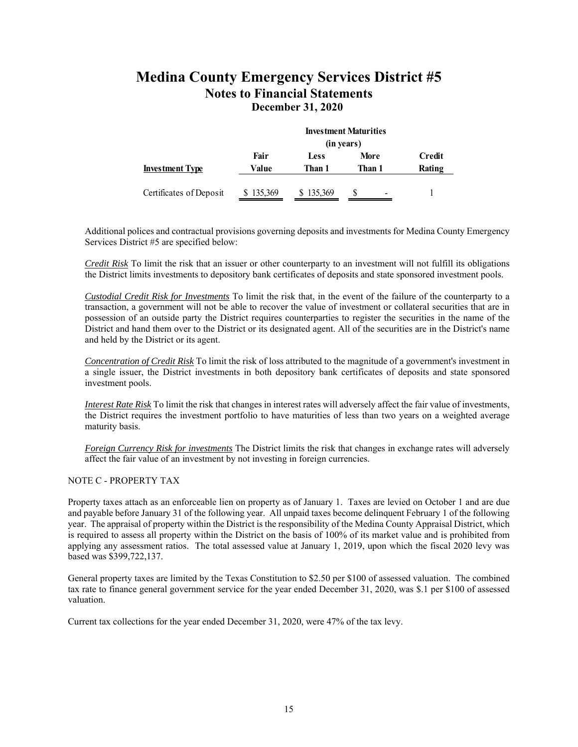|                         | <b>Investment Maturities</b><br>(in years) |                       |                |                  |  |  |  |  |  |
|-------------------------|--------------------------------------------|-----------------------|----------------|------------------|--|--|--|--|--|
| <b>Investment Type</b>  | Fair<br>Value                              | <b>Less</b><br>Than 1 | More<br>Than 1 | Credit<br>Rating |  |  |  |  |  |
| Certificates of Deposit | \$135,369                                  | \$135,369             | -              |                  |  |  |  |  |  |

Additional polices and contractual provisions governing deposits and investments for Medina County Emergency Services District #5 are specified below:

*Credit Risk* To limit the risk that an issuer or other counterparty to an investment will not fulfill its obligations the District limits investments to depository bank certificates of deposits and state sponsored investment pools.

*Custodial Credit Risk for Investments* To limit the risk that, in the event of the failure of the counterparty to a transaction, a government will not be able to recover the value of investment or collateral securities that are in possession of an outside party the District requires counterparties to register the securities in the name of the District and hand them over to the District or its designated agent. All of the securities are in the District's name and held by the District or its agent.

*Concentration of Credit Risk* To limit the risk of loss attributed to the magnitude of a government's investment in a single issuer, the District investments in both depository bank certificates of deposits and state sponsored investment pools.

*Interest Rate Risk* To limit the risk that changes in interest rates will adversely affect the fair value of investments, the District requires the investment portfolio to have maturities of less than two years on a weighted average maturity basis.

*Foreign Currency Risk for investments* The District limits the risk that changes in exchange rates will adversely affect the fair value of an investment by not investing in foreign currencies.

NOTE C - PROPERTY TAX

Property taxes attach as an enforceable lien on property as of January 1. Taxes are levied on October 1 and are due and payable before January 31 of the following year. All unpaid taxes become delinquent February 1 of the following year. The appraisal of property within the District is the responsibility of the Medina County Appraisal District, which is required to assess all property within the District on the basis of 100% of its market value and is prohibited from applying any assessment ratios. The total assessed value at January 1, 2019, upon which the fiscal 2020 levy was based was \$399,722,137.

General property taxes are limited by the Texas Constitution to \$2.50 per \$100 of assessed valuation. The combined tax rate to finance general government service for the year ended December 31, 2020, was \$.1 per \$100 of assessed valuation.

Current tax collections for the year ended December 31, 2020, were 47% of the tax levy.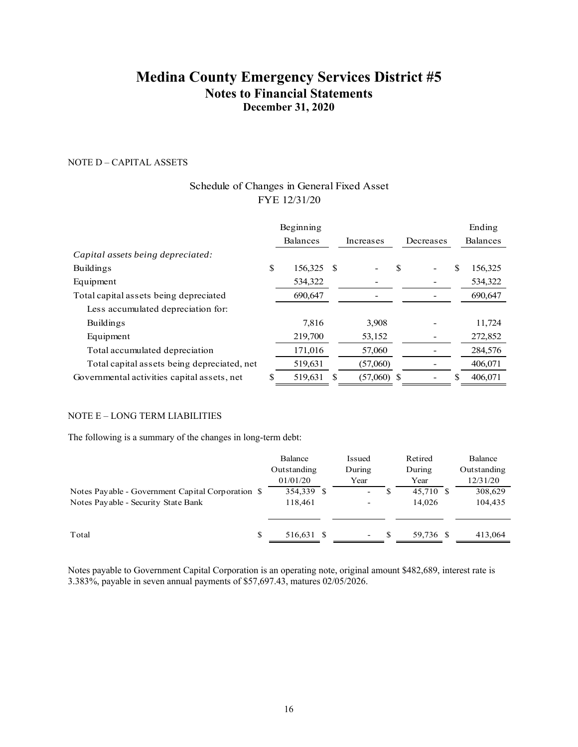#### NOTE D – CAPITAL ASSETS

#### Schedule of Changes in General Fixed Asset FYE 12/31/20

|                                             | Beginning |                 |    |           |               | Ending    |                 |
|---------------------------------------------|-----------|-----------------|----|-----------|---------------|-----------|-----------------|
|                                             |           | <b>Balances</b> |    | Increases |               | Decreases | <b>Balances</b> |
| Capital assets being depreciated:           |           |                 |    |           |               |           |                 |
| <b>Buildings</b>                            | \$        | 156,325         | -S |           | <sup>\$</sup> |           | \$<br>156,325   |
| Equipment                                   |           | 534,322         |    |           |               |           | 534,322         |
| Total capital assets being depreciated      |           | 690,647         |    |           |               |           | 690,647         |
| Less accumulated depreciation for:          |           |                 |    |           |               |           |                 |
| <b>Buildings</b>                            |           | 7.816           |    | 3,908     |               |           | 11,724          |
| Equipment                                   |           | 219,700         |    | 53,152    |               |           | 272,852         |
| Total accumulated depreciation              |           | 171,016         |    | 57,060    |               |           | 284,576         |
| Total capital assets being depreciated, net |           | 519,631         |    | (57,060)  |               |           | 406,071         |
| Governmental activities capital assets, net | S         | 519,631         |    | (57,060)  | -S            |           | \$<br>406,071   |

#### NOTE E – LONG TERM LIABILITIES

The following is a summary of the changes in long-term debt:

| Balance | Issued                                           | Retired |         | Balance                |
|---------|--------------------------------------------------|---------|---------|------------------------|
|         | During                                           | During  |         | Outstanding            |
|         | Year                                             | Year    |         | 12/31/20               |
| - \$    | $\sim$                                           |         |         | 308,629                |
| 118.461 | $\overline{\phantom{0}}$                         | 14.026  |         | 104,435                |
|         |                                                  |         |         |                        |
|         |                                                  |         |         |                        |
|         | $\overline{\phantom{a}}$                         |         |         | 413,064                |
|         | Outstanding<br>01/01/20<br>354,339<br>516,631 \$ |         | S<br>-S | 45.710 \$<br>59.736 \$ |

Notes payable to Government Capital Corporation is an operating note, original amount \$482,689, interest rate is 3.383%, payable in seven annual payments of \$57,697.43, matures 02/05/2026.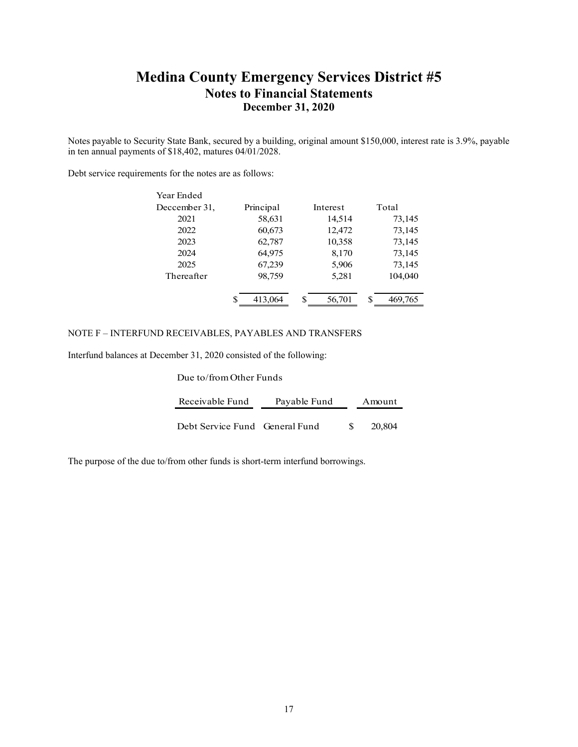Notes payable to Security State Bank, secured by a building, original amount \$150,000, interest rate is 3.9%, payable in ten annual payments of \$18,402, matures 04/01/2028.

Debt service requirements for the notes are as follows:

| Year Ended    |              |             |              |
|---------------|--------------|-------------|--------------|
| Deccember 31, | Principal    | Interest    | Total        |
| 2021          | 58,631       | 14,514      | 73,145       |
| 2022          | 60,673       | 12,472      | 73,145       |
| 2023          | 62,787       | 10,358      | 73,145       |
| 2024          | 64,975       | 8,170       | 73,145       |
| 2025          | 67,239       | 5,906       | 73,145       |
| Thereafter    | 98,759       | 5,281       | 104,040      |
|               |              |             |              |
|               | 413,064<br>S | 56,701<br>S | 469,765<br>S |

#### NOTE F – INTERFUND RECEIVABLES, PAYABLES AND TRANSFERS

Interfund balances at December 31, 2020 consisted of the following:

| Due to/from Other Funds        |              |  |        |  |  |  |  |
|--------------------------------|--------------|--|--------|--|--|--|--|
| Receivable Fund                | Payable Fund |  | Amount |  |  |  |  |
| Debt Service Fund General Fund |              |  | 20,804 |  |  |  |  |

The purpose of the due to/from other funds is short-term interfund borrowings.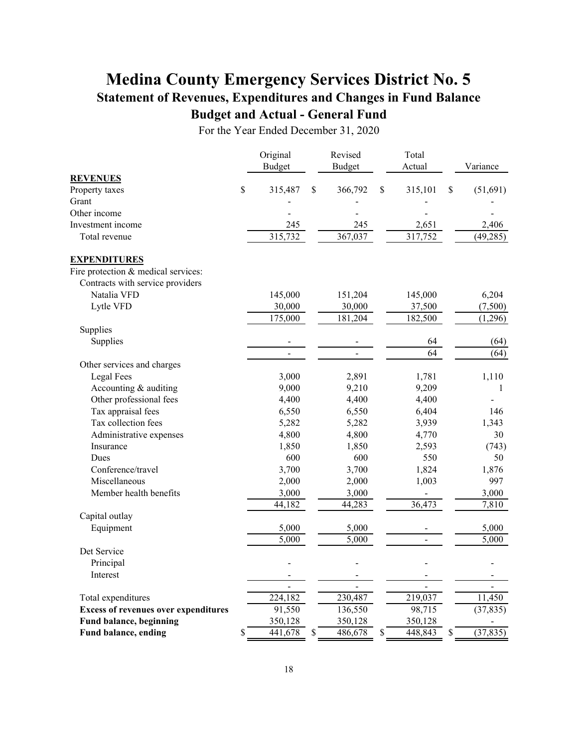# **Medina County Emergency Services District No. 5 Statement of Revenues, Expenditures and Changes in Fund Balance Budget and Actual - General Fund**

For the Year Ended December 31, 2020

|                                             |    | Original<br><b>Budget</b> | Revised<br>Budget | Total<br>Actual | Variance          |
|---------------------------------------------|----|---------------------------|-------------------|-----------------|-------------------|
| <b>REVENUES</b>                             |    |                           |                   |                 |                   |
| Property taxes                              | \$ | 315,487                   | \$<br>366,792     | \$<br>315,101   | \$<br>(51,691)    |
| Grant                                       |    |                           |                   |                 |                   |
| Other income                                |    |                           |                   |                 |                   |
| Investment income                           |    | 245                       | 245               | 2,651           | 2,406             |
| Total revenue                               |    | 315,732                   | 367,037           | 317,752         | (49, 285)         |
| <b>EXPENDITURES</b>                         |    |                           |                   |                 |                   |
| Fire protection & medical services:         |    |                           |                   |                 |                   |
| Contracts with service providers            |    |                           |                   |                 |                   |
| Natalia VFD                                 |    | 145,000                   | 151,204           | 145,000         | 6,204             |
| Lytle VFD                                   |    | 30,000                    | 30,000            | 37,500          | (7,500)           |
|                                             |    | 175,000                   | 181,204           | 182,500         | (1,296)           |
| Supplies                                    |    |                           |                   |                 |                   |
| Supplies                                    |    |                           |                   | 64              | (64)              |
|                                             |    | $\overline{a}$            | $\blacksquare$    | 64              | (64)              |
| Other services and charges                  |    |                           |                   |                 |                   |
| Legal Fees                                  |    | 3,000                     | 2,891             | 1,781           | 1,110             |
| Accounting & auditing                       |    | 9,000                     | 9,210             | 9,209           | $\mathbf{1}$      |
| Other professional fees                     |    | 4,400                     | 4,400             | 4,400           |                   |
| Tax appraisal fees                          |    | 6,550                     | 6,550             | 6,404           | 146               |
| Tax collection fees                         |    | 5,282                     | 5,282             | 3,939           | 1,343             |
| Administrative expenses                     |    | 4,800                     | 4,800             | 4,770           | 30                |
| Insurance                                   |    | 1,850                     | 1,850             | 2,593           | (743)             |
| Dues                                        |    | 600                       | 600               | 550             | 50                |
| Conference/travel                           |    | 3,700                     | 3,700             | 1,824           | 1,876             |
| Miscellaneous                               |    | 2,000                     | 2,000             | 1,003           | 997               |
| Member health benefits                      |    | 3,000                     | 3,000             |                 | 3,000             |
|                                             |    | 44,182                    | 44,283            | 36,473          | 7,810             |
| Capital outlay                              |    |                           |                   |                 |                   |
| Equipment                                   |    | 5,000                     | 5,000             |                 | 5,000             |
|                                             |    | 5,000                     | 5,000             |                 | $\frac{1}{5,000}$ |
| Det Service                                 |    |                           |                   |                 |                   |
| Principal                                   |    |                           |                   |                 |                   |
| Interest                                    |    |                           |                   |                 |                   |
|                                             |    |                           |                   |                 |                   |
| Total expenditures                          |    | 224,182                   | 230,487           | 219,037         | 11,450            |
| <b>Excess of revenues over expenditures</b> |    | 91,550                    | 136,550           | 98,715          | (37, 835)         |
| Fund balance, beginning                     |    | 350,128                   | 350,128           | 350,128         |                   |
| Fund balance, ending                        | \$ | 441,678                   | \$<br>486,678     | \$<br>448,843   | \$<br>(37, 835)   |